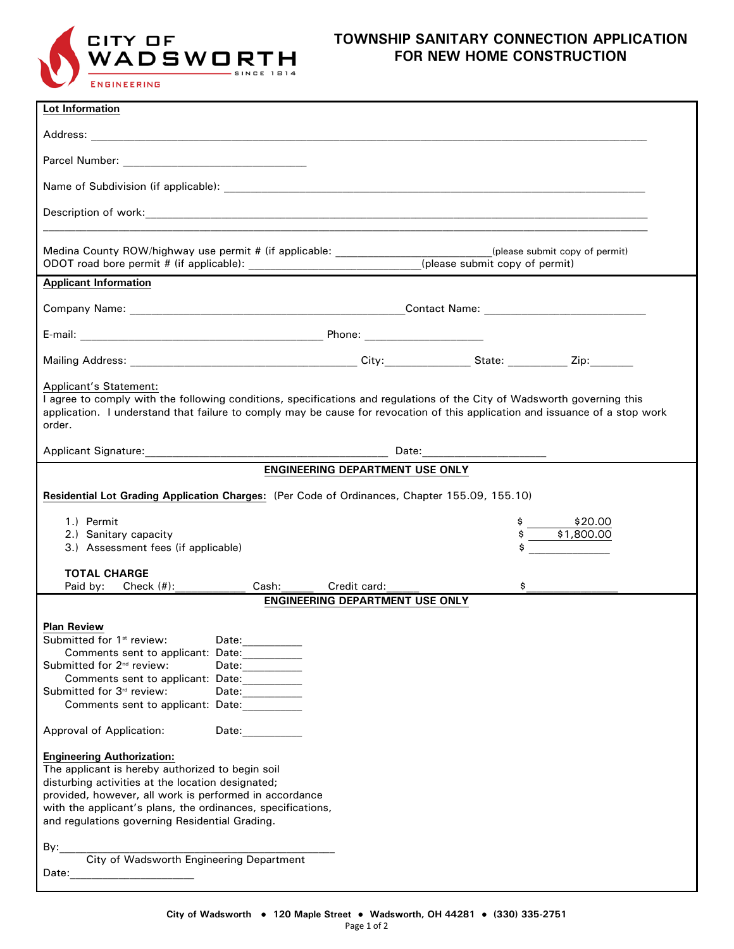

## **TOWNSHIP SANITARY CONNECTION APPLICATION FOR NEW HOME CONSTRUCTION**

| Lot Information                                                                                                                                                                                                                                                                                                                                                            |                       |  |  |  |
|----------------------------------------------------------------------------------------------------------------------------------------------------------------------------------------------------------------------------------------------------------------------------------------------------------------------------------------------------------------------------|-----------------------|--|--|--|
|                                                                                                                                                                                                                                                                                                                                                                            |                       |  |  |  |
|                                                                                                                                                                                                                                                                                                                                                                            |                       |  |  |  |
|                                                                                                                                                                                                                                                                                                                                                                            |                       |  |  |  |
|                                                                                                                                                                                                                                                                                                                                                                            |                       |  |  |  |
|                                                                                                                                                                                                                                                                                                                                                                            |                       |  |  |  |
| Medina County ROW/highway use permit # (if applicable: ________________________(please submit copy of permit)<br>ODOT road bore permit # (if applicable): ____________________________(please submit copy of permit)                                                                                                                                                       |                       |  |  |  |
| <b>Applicant Information</b>                                                                                                                                                                                                                                                                                                                                               |                       |  |  |  |
|                                                                                                                                                                                                                                                                                                                                                                            |                       |  |  |  |
|                                                                                                                                                                                                                                                                                                                                                                            |                       |  |  |  |
|                                                                                                                                                                                                                                                                                                                                                                            |                       |  |  |  |
| Applicant's Statement:<br>I agree to comply with the following conditions, specifications and regulations of the City of Wadsworth governing this<br>application. I understand that failure to comply may be cause for revocation of this application and issuance of a stop work<br>order.                                                                                |                       |  |  |  |
|                                                                                                                                                                                                                                                                                                                                                                            |                       |  |  |  |
| <b>ENGINEERING DEPARTMENT USE ONLY</b>                                                                                                                                                                                                                                                                                                                                     |                       |  |  |  |
| Residential Lot Grading Application Charges: (Per Code of Ordinances, Chapter 155.09, 155.10)                                                                                                                                                                                                                                                                              |                       |  |  |  |
| 1.) Permit<br>2.) Sanitary capacity<br>3.) Assessment fees (if applicable)                                                                                                                                                                                                                                                                                                 | \$20.00<br>\$1,800.00 |  |  |  |
| <b>TOTAL CHARGE</b><br>Paid by: $Check (#):$<br>Cash: The Cash of the Cash of the Cash of the Cash of the Cash of the Cash of the Cash of the Cash o<br>Credit card:<br>\$                                                                                                                                                                                                 |                       |  |  |  |
| <b>ENGINEERING DEPARTMENT USE ONLY</b>                                                                                                                                                                                                                                                                                                                                     |                       |  |  |  |
| <b>Plan Review</b><br>Submitted for 1 <sup>st</sup> review:<br>Date:____________<br>Comments sent to applicant: Date:___________<br>Submitted for 2 <sup>nd</sup> review:<br>Date: _________<br>Comments sent to applicant: Date:<br>Submitted for 3rd review:<br>Date:__________<br>Comments sent to applicant: Date:<br>Approval of Application:<br>Date: <u>_______</u> |                       |  |  |  |
| <b>Engineering Authorization:</b>                                                                                                                                                                                                                                                                                                                                          |                       |  |  |  |
| The applicant is hereby authorized to begin soil<br>disturbing activities at the location designated;                                                                                                                                                                                                                                                                      |                       |  |  |  |
| provided, however, all work is performed in accordance<br>with the applicant's plans, the ordinances, specifications,<br>and regulations governing Residential Grading.                                                                                                                                                                                                    |                       |  |  |  |